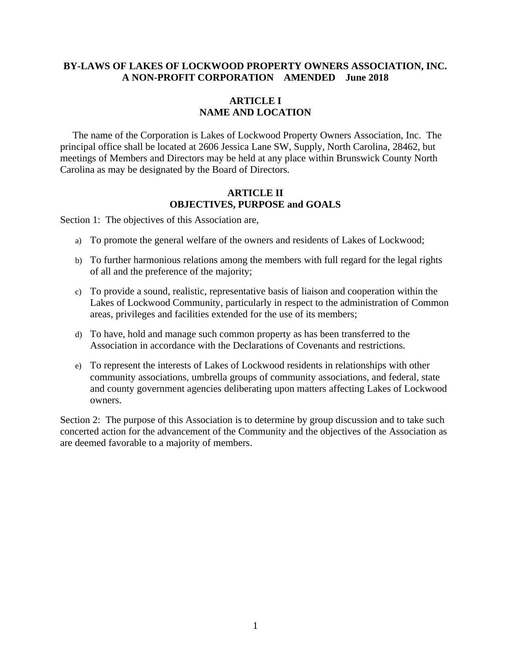### **BY-LAWS OF LAKES OF LOCKWOOD PROPERTY OWNERS ASSOCIATION, INC. A NON-PROFIT CORPORATION AMENDED June 2018**

# **ARTICLE I NAME AND LOCATION**

 The name of the Corporation is Lakes of Lockwood Property Owners Association, Inc. The principal office shall be located at 2606 Jessica Lane SW, Supply, North Carolina, 28462, but meetings of Members and Directors may be held at any place within Brunswick County North Carolina as may be designated by the Board of Directors.

## **ARTICLE II OBJECTIVES, PURPOSE and GOALS**

Section 1: The objectives of this Association are,

- a) To promote the general welfare of the owners and residents of Lakes of Lockwood;
- b) To further harmonious relations among the members with full regard for the legal rights of all and the preference of the majority;
- c) To provide a sound, realistic, representative basis of liaison and cooperation within the Lakes of Lockwood Community, particularly in respect to the administration of Common areas, privileges and facilities extended for the use of its members;
- d) To have, hold and manage such common property as has been transferred to the Association in accordance with the Declarations of Covenants and restrictions.
- e) To represent the interests of Lakes of Lockwood residents in relationships with other community associations, umbrella groups of community associations, and federal, state and county government agencies deliberating upon matters affecting Lakes of Lockwood owners.

Section 2: The purpose of this Association is to determine by group discussion and to take such concerted action for the advancement of the Community and the objectives of the Association as are deemed favorable to a majority of members.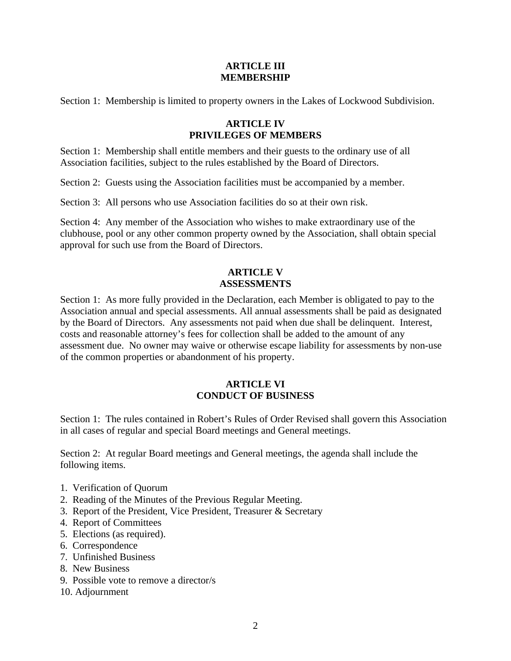### **ARTICLE III MEMBERSHIP**

Section 1: Membership is limited to property owners in the Lakes of Lockwood Subdivision.

## **ARTICLE IV PRIVILEGES OF MEMBERS**

Section 1: Membership shall entitle members and their guests to the ordinary use of all Association facilities, subject to the rules established by the Board of Directors.

Section 2: Guests using the Association facilities must be accompanied by a member.

Section 3: All persons who use Association facilities do so at their own risk.

Section 4: Any member of the Association who wishes to make extraordinary use of the clubhouse, pool or any other common property owned by the Association, shall obtain special approval for such use from the Board of Directors.

# **ARTICLE V ASSESSMENTS**

Section 1: As more fully provided in the Declaration, each Member is obligated to pay to the Association annual and special assessments. All annual assessments shall be paid as designated by the Board of Directors. Any assessments not paid when due shall be delinquent. Interest, costs and reasonable attorney's fees for collection shall be added to the amount of any assessment due. No owner may waive or otherwise escape liability for assessments by non-use of the common properties or abandonment of his property.

# **ARTICLE VI CONDUCT OF BUSINESS**

Section 1: The rules contained in Robert's Rules of Order Revised shall govern this Association in all cases of regular and special Board meetings and General meetings.

Section 2: At regular Board meetings and General meetings, the agenda shall include the following items.

- 1. Verification of Quorum
- 2. Reading of the Minutes of the Previous Regular Meeting.
- 3. Report of the President, Vice President, Treasurer & Secretary
- 4. Report of Committees
- 5. Elections (as required).
- 6. Correspondence
- 7. Unfinished Business
- 8. New Business
- 9. Possible vote to remove a director/s
- 10. Adjournment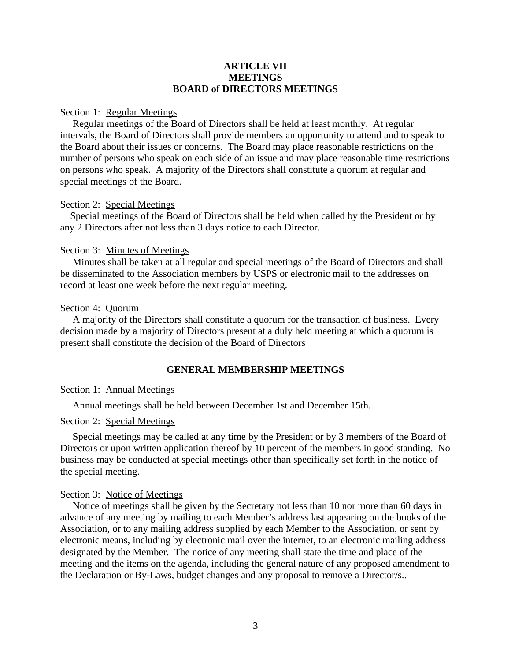#### **ARTICLE VII MEETINGS BOARD of DIRECTORS MEETINGS**

#### Section 1: Regular Meetings

 Regular meetings of the Board of Directors shall be held at least monthly. At regular intervals, the Board of Directors shall provide members an opportunity to attend and to speak to the Board about their issues or concerns. The Board may place reasonable restrictions on the number of persons who speak on each side of an issue and may place reasonable time restrictions on persons who speak. A majority of the Directors shall constitute a quorum at regular and special meetings of the Board.

#### Section 2: Special Meetings

 Special meetings of the Board of Directors shall be held when called by the President or by any 2 Directors after not less than 3 days notice to each Director.

#### Section 3: Minutes of Meetings

 Minutes shall be taken at all regular and special meetings of the Board of Directors and shall be disseminated to the Association members by USPS or electronic mail to the addresses on record at least one week before the next regular meeting.

#### Section 4: Quorum

 A majority of the Directors shall constitute a quorum for the transaction of business. Every decision made by a majority of Directors present at a duly held meeting at which a quorum is present shall constitute the decision of the Board of Directors

#### **GENERAL MEMBERSHIP MEETINGS**

#### Section 1: Annual Meetings

Annual meetings shall be held between December 1st and December 15th.

#### Section 2: Special Meetings

 Special meetings may be called at any time by the President or by 3 members of the Board of Directors or upon written application thereof by 10 percent of the members in good standing. No business may be conducted at special meetings other than specifically set forth in the notice of the special meeting.

#### Section 3: Notice of Meetings

 Notice of meetings shall be given by the Secretary not less than 10 nor more than 60 days in advance of any meeting by mailing to each Member's address last appearing on the books of the Association, or to any mailing address supplied by each Member to the Association, or sent by electronic means, including by electronic mail over the internet, to an electronic mailing address designated by the Member. The notice of any meeting shall state the time and place of the meeting and the items on the agenda, including the general nature of any proposed amendment to the Declaration or By-Laws, budget changes and any proposal to remove a Director/s..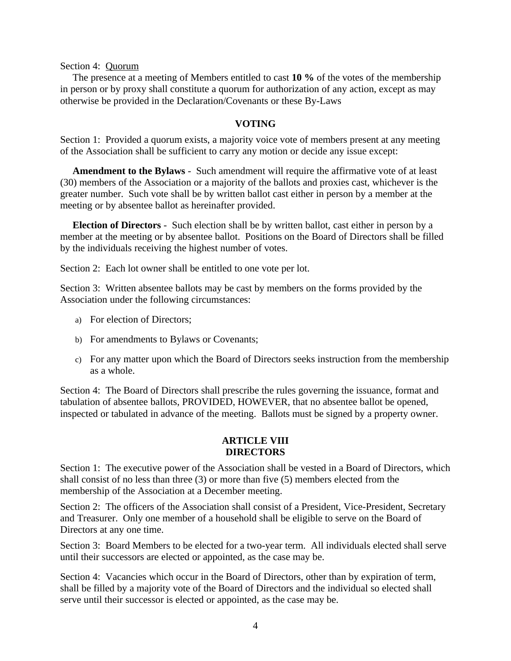Section 4: Quorum

 The presence at a meeting of Members entitled to cast **10 %** of the votes of the membership in person or by proxy shall constitute a quorum for authorization of any action, except as may otherwise be provided in the Declaration/Covenants or these By-Laws

## **VOTING**

Section 1: Provided a quorum exists, a majority voice vote of members present at any meeting of the Association shall be sufficient to carry any motion or decide any issue except:

 **Amendment to the Bylaws** - Such amendment will require the affirmative vote of at least (30) members of the Association or a majority of the ballots and proxies cast, whichever is the greater number. Such vote shall be by written ballot cast either in person by a member at the meeting or by absentee ballot as hereinafter provided.

 **Election of Directors** - Such election shall be by written ballot, cast either in person by a member at the meeting or by absentee ballot. Positions on the Board of Directors shall be filled by the individuals receiving the highest number of votes.

Section 2: Each lot owner shall be entitled to one vote per lot.

Section 3: Written absentee ballots may be cast by members on the forms provided by the Association under the following circumstances:

- a) For election of Directors;
- b) For amendments to Bylaws or Covenants;
- c) For any matter upon which the Board of Directors seeks instruction from the membership as a whole.

Section 4: The Board of Directors shall prescribe the rules governing the issuance, format and tabulation of absentee ballots, PROVIDED, HOWEVER, that no absentee ballot be opened, inspected or tabulated in advance of the meeting. Ballots must be signed by a property owner.

## **ARTICLE VIII DIRECTORS**

Section 1: The executive power of the Association shall be vested in a Board of Directors, which shall consist of no less than three (3) or more than five (5) members elected from the membership of the Association at a December meeting.

Section 2: The officers of the Association shall consist of a President, Vice-President, Secretary and Treasurer. Only one member of a household shall be eligible to serve on the Board of Directors at any one time.

Section 3: Board Members to be elected for a two-year term. All individuals elected shall serve until their successors are elected or appointed, as the case may be.

Section 4: Vacancies which occur in the Board of Directors, other than by expiration of term, shall be filled by a majority vote of the Board of Directors and the individual so elected shall serve until their successor is elected or appointed, as the case may be.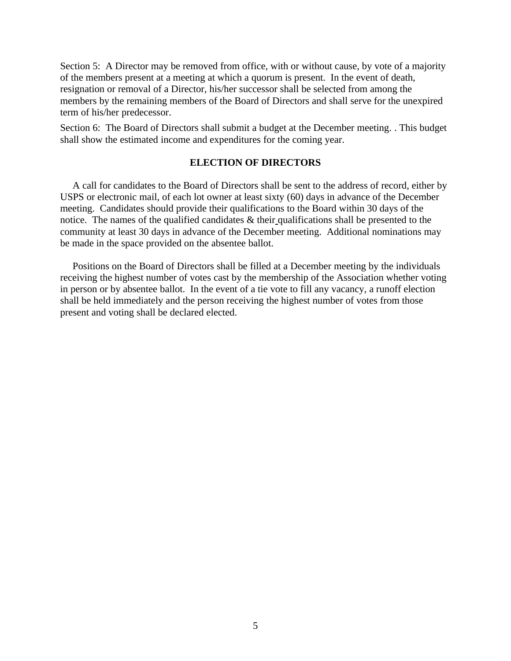Section 5: A Director may be removed from office, with or without cause, by vote of a majority of the members present at a meeting at which a quorum is present. In the event of death, resignation or removal of a Director, his/her successor shall be selected from among the members by the remaining members of the Board of Directors and shall serve for the unexpired term of his/her predecessor.

Section 6: The Board of Directors shall submit a budget at the December meeting. . This budget shall show the estimated income and expenditures for the coming year.

### **ELECTION OF DIRECTORS**

 A call for candidates to the Board of Directors shall be sent to the address of record, either by USPS or electronic mail, of each lot owner at least sixty (60) days in advance of the December meeting. Candidates should provide their qualifications to the Board within 30 days of the notice. The names of the qualified candidates & their qualifications shall be presented to the community at least 30 days in advance of the December meeting. Additional nominations may be made in the space provided on the absentee ballot.

 Positions on the Board of Directors shall be filled at a December meeting by the individuals receiving the highest number of votes cast by the membership of the Association whether voting in person or by absentee ballot. In the event of a tie vote to fill any vacancy, a runoff election shall be held immediately and the person receiving the highest number of votes from those present and voting shall be declared elected.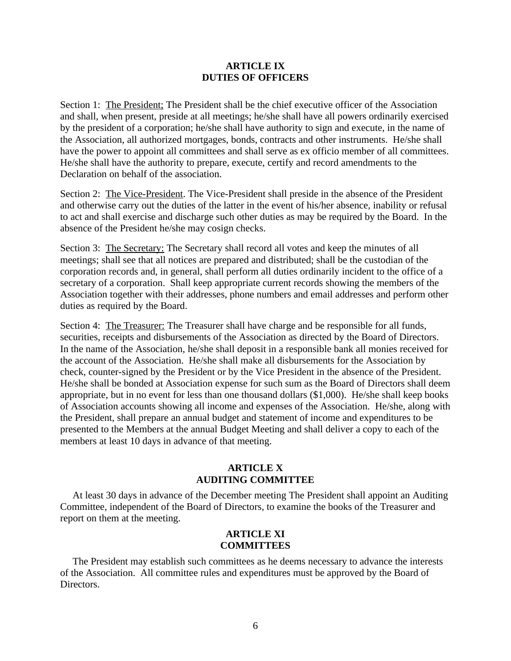### **ARTICLE IX DUTIES OF OFFICERS**

Section 1: The President; The President shall be the chief executive officer of the Association and shall, when present, preside at all meetings; he/she shall have all powers ordinarily exercised by the president of a corporation; he/she shall have authority to sign and execute, in the name of the Association, all authorized mortgages, bonds, contracts and other instruments. He/she shall have the power to appoint all committees and shall serve as ex officio member of all committees. He/she shall have the authority to prepare, execute, certify and record amendments to the Declaration on behalf of the association.

Section 2: The Vice-President. The Vice-President shall preside in the absence of the President and otherwise carry out the duties of the latter in the event of his/her absence, inability or refusal to act and shall exercise and discharge such other duties as may be required by the Board. In the absence of the President he/she may cosign checks.

Section 3: The Secretary: The Secretary shall record all votes and keep the minutes of all meetings; shall see that all notices are prepared and distributed; shall be the custodian of the corporation records and, in general, shall perform all duties ordinarily incident to the office of a secretary of a corporation. Shall keep appropriate current records showing the members of the Association together with their addresses, phone numbers and email addresses and perform other duties as required by the Board.

Section 4: The Treasurer: The Treasurer shall have charge and be responsible for all funds, securities, receipts and disbursements of the Association as directed by the Board of Directors. In the name of the Association, he/she shall deposit in a responsible bank all monies received for the account of the Association. He/she shall make all disbursements for the Association by check, counter-signed by the President or by the Vice President in the absence of the President. He/she shall be bonded at Association expense for such sum as the Board of Directors shall deem appropriate, but in no event for less than one thousand dollars (\$1,000). He/she shall keep books of Association accounts showing all income and expenses of the Association. He/she, along with the President, shall prepare an annual budget and statement of income and expenditures to be presented to the Members at the annual Budget Meeting and shall deliver a copy to each of the members at least 10 days in advance of that meeting.

# **ARTICLE X AUDITING COMMITTEE**

 At least 30 days in advance of the December meeting The President shall appoint an Auditing Committee, independent of the Board of Directors, to examine the books of the Treasurer and report on them at the meeting.

## **ARTICLE XI COMMITTEES**

 The President may establish such committees as he deems necessary to advance the interests of the Association. All committee rules and expenditures must be approved by the Board of Directors.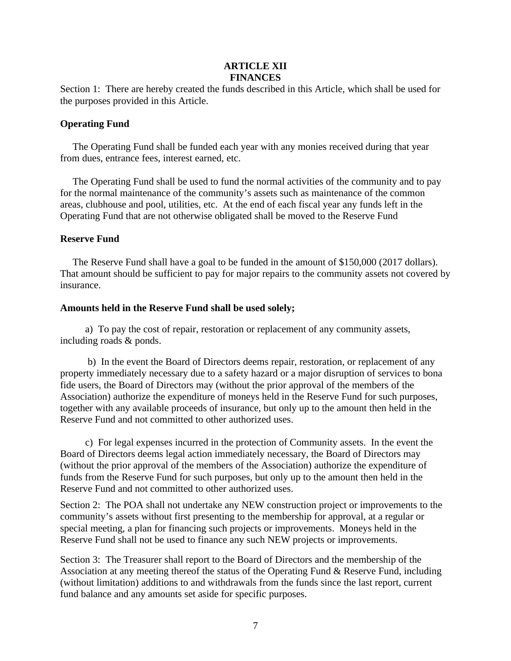### **ARTICLE XII FINANCES**

Section 1: There are hereby created the funds described in this Article, which shall be used for the purposes provided in this Article.

### **Operating Fund**

 The Operating Fund shall be funded each year with any monies received during that year from dues, entrance fees, interest earned, etc.

 The Operating Fund shall be used to fund the normal activities of the community and to pay for the normal maintenance of the community's assets such as maintenance of the common areas, clubhouse and pool, utilities, etc. At the end of each fiscal year any funds left in the Operating Fund that are not otherwise obligated shall be moved to the Reserve Fund

## **Reserve Fund**

 The Reserve Fund shall have a goal to be funded in the amount of \$150,000 (2017 dollars). That amount should be sufficient to pay for major repairs to the community assets not covered by insurance.

## **Amounts held in the Reserve Fund shall be used solely;**

 a) To pay the cost of repair, restoration or replacement of any community assets, including roads & ponds.

 b) In the event the Board of Directors deems repair, restoration, or replacement of any property immediately necessary due to a safety hazard or a major disruption of services to bona fide users, the Board of Directors may (without the prior approval of the members of the Association) authorize the expenditure of moneys held in the Reserve Fund for such purposes, together with any available proceeds of insurance, but only up to the amount then held in the Reserve Fund and not committed to other authorized uses.

 c) For legal expenses incurred in the protection of Community assets. In the event the Board of Directors deems legal action immediately necessary, the Board of Directors may (without the prior approval of the members of the Association) authorize the expenditure of funds from the Reserve Fund for such purposes, but only up to the amount then held in the Reserve Fund and not committed to other authorized uses.

Section 2: The POA shall not undertake any NEW construction project or improvements to the community's assets without first presenting to the membership for approval, at a regular or special meeting, a plan for financing such projects or improvements. Moneys held in the Reserve Fund shall not be used to finance any such NEW projects or improvements.

Section 3: The Treasurer shall report to the Board of Directors and the membership of the Association at any meeting thereof the status of the Operating Fund & Reserve Fund, including (without limitation) additions to and withdrawals from the funds since the last report, current fund balance and any amounts set aside for specific purposes.